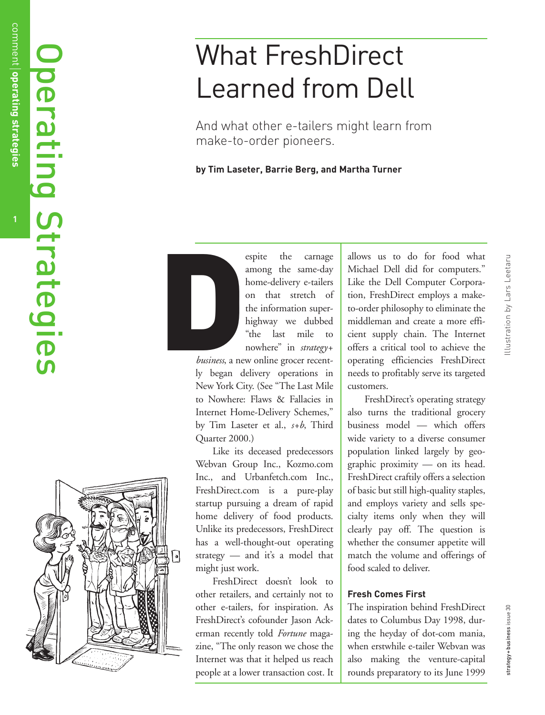# Operating Strategies Operating Strategies



# What FreshDirect Learned from Dell

And what other e-tailers might learn from make-to-order pioneers.

# **by Tim Laseter, Barrie Berg, and Martha Turner**



espite the carnage among the same-day home-delivery e-tailers on that stretch of the information superhighway we dubbed "the last mile to nowhere" in *strategy+*

*business*, a new online grocer recently began delivery operations in New York City. (See "The Last Mile to Nowhere: Flaws & Fallacies in Internet Home-Delivery Schemes, " by Tim Laseter et al., *s+b*, Third Quarter 2000.)

Like its deceased predecessors Webvan Group Inc., Kozmo.com Inc., and Urbanfetch.com Inc., FreshDirect.com is a pure-play startup pursuing a dream of rapid home delivery of food products. Unlike its predecessors, FreshDirect has a well-thought-out operating strategy — and it 's a model that might just work.

FreshDirect doesn't look to other retailers, and certainly not to other e-tailers, for inspiration. As FreshDirect 's cofounder Jason Ackerman recently told *Fortune* magazine, "The only reason we chose the Internet was that it helped us reach people at a lower transaction cost. It allows us to do for food what Michael Dell did for computers. " Like the Dell Computer Corporation, FreshDirect employs a maketo-order philosophy to eliminate the middleman and create a more efficient supply chain. The Internet offers a critical tool to achieve the operating efficiencies FreshDirect needs to profitably serve its targeted customers.

FreshDirect 's operating strategy also turns the traditional grocery business model — which offers wide variety to a diverse consumer population linked largely by geographic proximity — on its head. FreshDirect craftily offers a selection of basic but still high-quality staples, and employs variety and sells specialty items only when they will clearly pay off. The question is whether the consumer appetite will match the volume and offerings of food scaled to deliver.

# **Fresh Comes First**

The inspiration behind FreshDirect dates to Columbus Day 1998, during the heyday of dot-com mania, when erstwhile e-tailer Webvan was also making the venture-capital rounds preparatory to its June 1999

strategy + business issue 30

strategy+business issue 30

**1**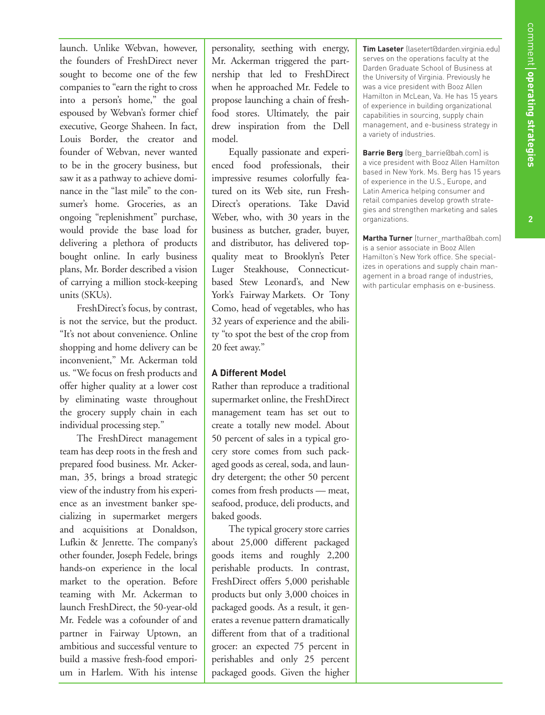**2**

launch. Unlike Webvan, however, the founders of FreshDirect never sought to become one of the few companies to "earn the right to cross into a person's home," the goal espoused by Webvan's former chief executive, George Shaheen. In fact, Louis Border, the creator and founder of Webvan, never wanted to be in the grocery business, but saw it as a pathway to achieve dominance in the "last mile" to the consumer's home. Groceries, as an ongoing "replenishment" purchase, would provide the base load for delivering a plethora of products bought online. In early business plans, Mr. Border described a vision of carrying a million stock-keeping units (SKUs).

FreshDirect's focus, by contrast, is not the service, but the product. "It's not about convenience. Online shopping and home delivery can be inconvenient," Mr. Ackerman told us. "We focus on fresh products and offer higher quality at a lower cost by eliminating waste throughout the grocery supply chain in each individual processing step."

The FreshDirect management team has deep roots in the fresh and prepared food business. Mr. Ackerman, 35, brings a broad strategic view of the industry from his experience as an investment banker specializing in supermarket mergers and acquisitions at Donaldson, Lufkin & Jenrette. The company's other founder, Joseph Fedele, brings hands-on experience in the local market to the operation. Before teaming with Mr. Ackerman to launch FreshDirect, the 50-year-old Mr. Fedele was a cofounder of and partner in Fairway Uptown, an ambitious and successful venture to build a massive fresh-food emporium in Harlem. With his intense

personality, seething with energy, Mr. Ackerman triggered the partnership that led to FreshDirect when he approached Mr. Fedele to propose launching a chain of freshfood stores. Ultimately, the pair drew inspiration from the Dell model.

Equally passionate and experienced food professionals, their impressive resumes colorfully featured on its Web site, run Fresh-Direct's operations. Take David Weber, who, with 30 years in the business as butcher, grader, buyer, and distributor, has delivered topquality meat to Brooklyn's Peter Luger Steakhouse, Connecticutbased Stew Leonard's, and New York's Fairway Markets. Or Tony Como, head of vegetables, who has 32 years of experience and the ability "to spot the best of the crop from 20 feet away."

# **A Different Model**

Rather than reproduce a traditional supermarket online, the FreshDirect management team has set out to create a totally new model. About 50 percent of sales in a typical grocery store comes from such packaged goods as cereal, soda, and laundry detergent; the other 50 percent comes from fresh products — meat, seafood, produce, deli products, and baked goods.

The typical grocery store carries about 25,000 different packaged goods items and roughly 2,200 perishable products. In contrast, FreshDirect offers 5,000 perishable products but only 3,000 choices in packaged goods. As a result, it generates a revenue pattern dramatically different from that of a traditional grocer: an expected 75 percent in perishables and only 25 percent packaged goods. Given the higher

**Tim Laseter** (lasetert@darden.virginia.edu) serves on the operations faculty at the Darden Graduate School of Business at the University of Virginia. Previously he was a vice president with Booz Allen Hamilton in McLean, Va. He has 15 years of experience in building organizational capabilities in sourcing, supply chain management, and e-business strategy in a variety of industries.

**Barrie Berg** (berg\_barrie@bah.com) is a vice president with Booz Allen Hamilton based in New York. Ms. Berg has 15 years of experience in the U.S., Europe, and Latin America helping consumer and retail companies develop growth strategies and strengthen marketing and sales organizations.

**Martha Turner** (turner\_martha@bah.com) is a senior associate in Booz Allen Hamilton's New York office. She specializes in operations and supply chain management in a broad range of industries, with particular emphasis on e-business.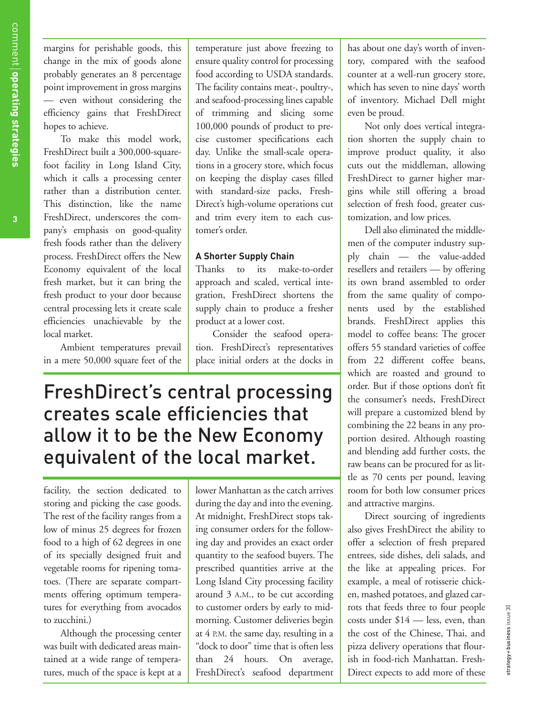margins for perishable goods, this change in the mix of goods alone probably generates an 8 percentage point improvement in gross margins — even without considering the efficiency gains that FreshDirect hopes to achieve.

To make this model work, FreshDirect built a 300,000-squarefoot facility in Long Island City, which it calls a processing center rather than a distribution center. This distinction, like the name FreshDirect, underscores the company's emphasis on good-quality fresh foods rather than the delivery process. FreshDirect offers the New Economy equivalent of the local fresh market, but it can bring the fresh product to your door because central processing lets it create scale efficiencies unachievable by the local market.

Ambient temperatures prevail in a mere 50,000 square feet of the temperature just above freezing to ensure quality control for processing food according to USDA standards. The facility contains meat-, poultry-, and seafood-processing lines capable of trimming and slicing some 100,000 pounds of product to precise customer specifications each day. Unlike the small-scale operations in a grocery store, which focus on keeping the display cases filled with standard-size packs, Fresh-Direct's high-volume operations cut and trim every item to each customer's order.

## **A Shorter Supply Chain**

Thanks to its make-to-order approach and scaled, vertical integration, FreshDirect shortens the supply chain to produce a fresher product at a lower cost.

Consider the seafood operation. FreshDirect's representatives place initial orders at the docks in

# FreshDirect's central processing creates scale efficiencies that allow it to be the New Economy equivalent of the local market.

facility, the section dedicated to storing and picking the case goods. The rest of the facility ranges from a low of minus 25 degrees for frozen food to a high of 62 degrees in one of its specially designed fruit and vegetable rooms for ripening tomatoes. (There are separate compartments offering optimum temperatures for everything from avocados to zucchini.)

Although the processing center was built with dedicated areas maintained at a wide range of temperatures, much of the space is kept at a lower Manhattan as the catch arrives during the day and into the evening. At midnight, FreshDirect stops taking consumer orders for the following day and provides an exact order quantity to the seafood buyers. The prescribed quantities arrive at the Long Island City processing facility around 3 A.M., to be cut according to customer orders by early to midmorning. Customer deliveries begin at 4 P.M. the same day, resulting in a "dock to door" time that is often less than 24 hours. On average, FreshDirect's seafood department

has about one day's worth of inventory, compared with the seafood counter at a well-run grocery store, which has seven to nine days' worth of inventory. Michael Dell might even be proud.

Not only does vertical integration shorten the supply chain to improve product quality, it also cuts out the middleman, allowing FreshDirect to garner higher margins while still offering a broad selection of fresh food, greater customization, and low prices.

Dell also eliminated the middlemen of the computer industry supply chain — the value-added resellers and retailers — by offering its own brand assembled to order from the same quality of components used by the established brands. FreshDirect applies this model to coffee beans: The grocer offers 55 standard varieties of coffee from 22 different coffee beans, which are roasted and ground to order. But if those options don't fit the consumer's needs, FreshDirect will prepare a customized blend by combining the 22 beans in any proportion desired. Although roasting and blending add further costs, the raw beans can be procured for as little as 70 cents per pound, leaving room for both low consumer prices and attractive margins.

Direct sourcing of ingredients also gives FreshDirect the ability to offer a selection of fresh prepared entrees, side dishes, deli salads, and the like at appealing prices. For example, a meal of rotisserie chicken, mashed potatoes, and glazed carrots that feeds three to four people costs under \$14 — less, even, than the cost of the Chinese, Thai, and pizza delivery operations that flourish in food-rich Manhattan. Fresh-Direct expects to add more of these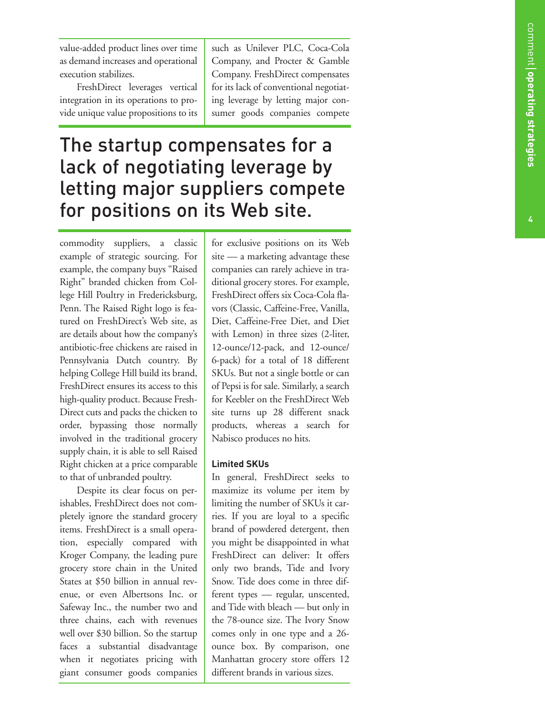value-added product lines over time as demand increases and operational execution stabilizes.

FreshDirect leverages vertical integration in its operations to provide unique value propositions to its such as Unilever PLC, Coca-Cola Company, and Procter & Gamble Company. FreshDirect compensates for its lack of conventional negotiating leverage by letting major consumer goods companies compete

# The startup compensates for a lack of negotiating leverage by letting major suppliers compete for positions on its Web site.

commodity suppliers, a classic example of strategic sourcing. For example, the company buys "Raised Right " branded chicken from College Hill Poultry in Fredericksburg, Penn. The Raised Right logo is featured on FreshDirect's Web site, as are details about how the company's antibiotic-free chickens are raised in Pennsylvania Dutch country. By helping College Hill build its brand, FreshDirect ensures its access to this high-quality product. Because Fresh-Direct cuts and packs the chicken to order, bypassing those normally involved in the traditional grocery supply chain, it is able to sell Raised Right chicken at a price comparable to that of unbranded poultry.

Despite its clear focus on perishables, FreshDirect does not completely ignore the standard grocery items. FreshDirect is a small operation, especially compared with Kroger Company, the leading pure grocery store chain in the United States at \$50 billion in annual revenue, or even Albertsons Inc. or Safeway Inc., the number two and three chains, each with revenues well over \$30 billion. So the startup faces a substantial disadvantage when it negotiates pricing with giant consumer goods companies

for exclusive positions on its Web site — a marketing advantage these companies can rarely achieve in traditional grocery stores. For example, FreshDirect offers six Coca-Cola flavors (Classic, Caffeine-Free, Vanilla, Diet, Caffeine-Free Diet, and Diet with Lemon) in three sizes (2-liter, 12-ounce/12-pack, and 12-ounce/ 6-pack) for a total of 18 different SKUs. But not a single bottle or can of Pepsi is for sale. Similarly, a search for Keebler on the FreshDirect Web site turns up 28 different snack products, whereas a search for Nabisco produces no hits.

# **Limited SKUs**

In general, FreshDirect seeks to maximize its volume per item by limiting the number of SKUs it carries. If you are loyal to a specific brand of powdered detergent, then you might be disappointed in what FreshDirect can deliver: It offers only two brands, Tide and Ivory Snow. Tide does come in three different types — regular, unscented, and Tide with bleach — but only in the 78-ounce size. The Ivory Snow comes only in one type and a 26 ounce box. By comparison, one Manhattan grocery store offers 12 different brands in various sizes.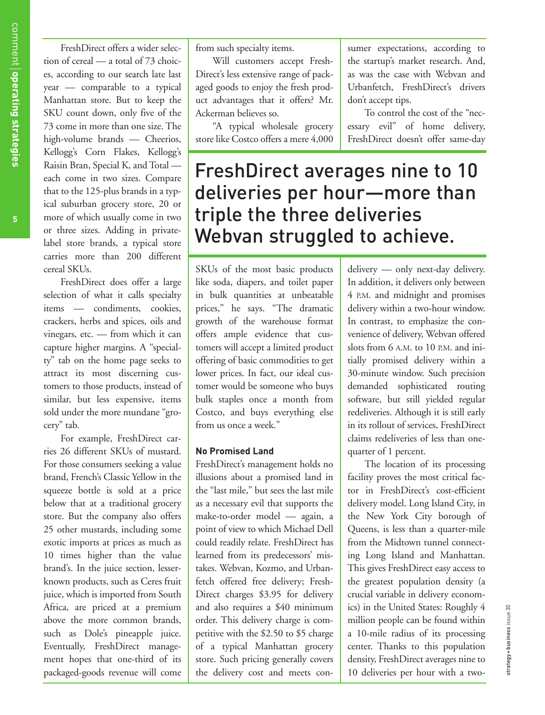**5**

FreshDirect offers a wider selection of cereal — a total of 73 choices, according to our search late last year — comparable to a typical Manhattan store. But to keep the SKU count down, only five of the 73 come in more than one size. The high-volume brands — Cheerios, Kellogg's Corn Flakes, Kellogg's Raisin Bran, Special K, and Total each come in two sizes. Compare that to the 125-plus brands in a typical suburban grocery store, 20 or more of which usually come in two or three sizes. Adding in privatelabel store brands, a typical store carries more than 200 different cereal SKUs.

FreshDirect does offer a large selection of what it calls specialty items — condiments, cookies, crackers, herbs and spices, oils and vinegars, etc. — from which it can capture higher margins. A "specialty" tab on the home page seeks to attract its most discerning customers to those products, instead of similar, but less expensive, items sold under the more mundane "grocery" tab.

For example, FreshDirect carries 26 different SKUs of mustard. For those consumers seeking a value brand, French's Classic Yellow in the squeeze bottle is sold at a price below that at a traditional grocery store. But the company also offers 25 other mustards, including some exotic imports at prices as much as 10 times higher than the value brand's. In the juice section, lesserknown products, such as Ceres fruit juice, which is imported from South Africa, are priced at a premium above the more common brands, such as Dole's pineapple juice. Eventually, FreshDirect management hopes that one-third of its packaged-goods revenue will come

from such specialty items.

Will customers accept Fresh-Direct's less extensive range of packaged goods to enjoy the fresh product advantages that it offers? Mr. Ackerman believes so.

"A typical wholesale grocery store like Costco offers a mere 4,000

sumer expectations, according to the startup's market research. And, as was the case with Webvan and Urbanfetch, FreshDirect's drivers don't accept tips.

To control the cost of the "necessary evil" of home delivery, FreshDirect doesn't offer same-day

FreshDirect averages nine to 10 deliveries per hour—more than triple the three deliveries Webvan struggled to achieve.

SKUs of the most basic products like soda, diapers, and toilet paper in bulk quantities at unbeatable prices," he says. "The dramatic growth of the warehouse format offers ample evidence that customers will accept a limited product offering of basic commodities to get lower prices. In fact, our ideal customer would be someone who buys bulk staples once a month from Costco, and buys everything else from us once a week."

### **No Promised Land**

FreshDirect's management holds no illusions about a promised land in the "last mile," but sees the last mile as a necessary evil that supports the make-to-order model — again, a point of view to which Michael Dell could readily relate. FreshDirect has learned from its predecessors' mistakes. Webvan, Kozmo, and Urbanfetch offered free delivery; Fresh-Direct charges \$3.95 for delivery and also requires a \$40 minimum order. This delivery charge is competitive with the \$2.50 to \$5 charge of a typical Manhattan grocery store. Such pricing generally covers the delivery cost and meets condelivery — only next-day delivery. In addition, it delivers only between 4 P.M. and midnight and promises delivery within a two-hour window. In contrast, to emphasize the convenience of delivery, Webvan offered slots from 6 A.M. to 10 P.M. and initially promised delivery within a 30-minute window. Such precision demanded sophisticated routing software, but still yielded regular redeliveries. Although it is still early in its rollout of services, FreshDirect claims redeliveries of less than onequarter of 1 percent.

The location of its processing facility proves the most critical factor in FreshDirect's cost-efficient delivery model. Long Island City, in the New York City borough of Queens, is less than a quarter-mile from the Midtown tunnel connecting Long Island and Manhattan. This gives FreshDirect easy access to the greatest population density (a crucial variable in delivery economics) in the United States: Roughly 4 million people can be found within a 10-mile radius of its processing center. Thanks to this population density, FreshDirect averages nine to 10 deliveries per hour with a two